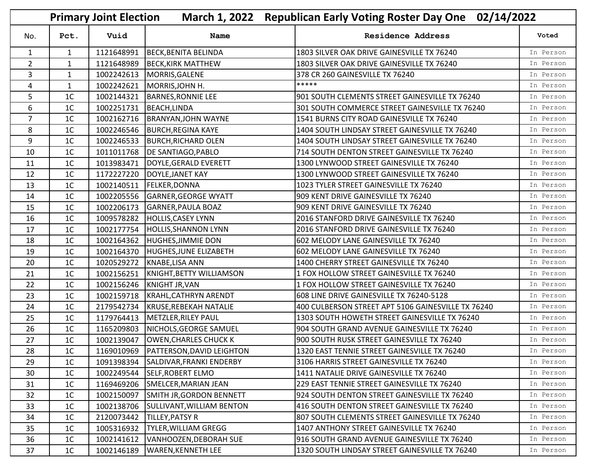|                |                | <b>Primary Joint Election</b> | <b>March 1, 2022</b>                   | Republican Early Voting Roster Day One 02/14/2022  |           |
|----------------|----------------|-------------------------------|----------------------------------------|----------------------------------------------------|-----------|
| No.            | Pct.           | Vuid                          | Name                                   | <b>Residence Address</b>                           | Voted     |
| $\mathbf{1}$   | $\mathbf{1}$   | 1121648991                    | BECK, BENITA BELINDA                   | 1803 SILVER OAK DRIVE GAINESVILLE TX 76240         | In Person |
| $\overline{2}$ | $\mathbf{1}$   | 1121648989                    | <b>BECK, KIRK MATTHEW</b>              | 1803 SILVER OAK DRIVE GAINESVILLE TX 76240         | In Person |
| 3              | $\mathbf{1}$   | 1002242613                    | MORRIS, GALENE                         | 378 CR 260 GAINESVILLE TX 76240                    | In Person |
| 4              | $\mathbf{1}$   | 1002242621                    | MORRIS, JOHN H.                        | *****                                              | In Person |
| 5              | 1 <sup>C</sup> | 1002144321                    | BARNES, RONNIE LEE                     | 901 SOUTH CLEMENTS STREET GAINESVILLE TX 76240     | In Person |
| 6              | 1 <sup>C</sup> | 1002251731                    | BEACH, LINDA                           | 301 SOUTH COMMERCE STREET GAINESVILLE TX 76240     | In Person |
| $\overline{7}$ | 1 <sup>C</sup> | 1002162716                    | BRANYAN, JOHN WAYNE                    | 1541 BURNS CITY ROAD GAINESVILLE TX 76240          | In Person |
| 8              | 1 <sup>C</sup> | 1002246546                    | <b>BURCH, REGINA KAYE</b>              | 1404 SOUTH LINDSAY STREET GAINESVILLE TX 76240     | In Person |
| 9              | 1 <sup>C</sup> | 1002246533                    | <b>BURCH, RICHARD OLEN</b>             | 1404 SOUTH LINDSAY STREET GAINESVILLE TX 76240     | In Person |
| 10             | 1 <sup>C</sup> | 1011011768                    | DE SANTIAGO, PABLO                     | 714 SOUTH DENTON STREET GAINESVILLE TX 76240       | In Person |
| 11             | 1 <sup>C</sup> | 1013983471                    | DOYLE, GERALD EVERETT                  | 1300 LYNWOOD STREET GAINESVILLE TX 76240           | In Person |
| 12             | 1 <sup>C</sup> | 1172227220                    | DOYLE, JANET KAY                       | 1300 LYNWOOD STREET GAINESVILLE TX 76240           | In Person |
| 13             | 1 <sup>C</sup> | 1002140511                    | <b>FELKER, DONNA</b>                   | 1023 TYLER STREET GAINESVILLE TX 76240             | In Person |
| 14             | 1 <sup>C</sup> | 1002205556                    | <b>GARNER, GEORGE WYATT</b>            | 909 KENT DRIVE GAINESVILLE TX 76240                | In Person |
| 15             | 1 <sup>C</sup> | 1002206173                    | <b>GARNER, PAULA BOAZ</b>              | 909 KENT DRIVE GAINESVILLE TX 76240                | In Person |
| 16             | 1 <sup>C</sup> | 1009578282                    | <b>HOLLIS, CASEY LYNN</b>              | 2016 STANFORD DRIVE GAINESVILLE TX 76240           | In Person |
| 17             | 1 <sup>C</sup> | 1002177754                    | HOLLIS, SHANNON LYNN                   | 2016 STANFORD DRIVE GAINESVILLE TX 76240           | In Person |
| 18             | 1 <sup>C</sup> | 1002164362                    | <b>HUGHES, JIMMIE DON</b>              | 602 MELODY LANE GAINESVILLE TX 76240               | In Person |
| 19             | 1 <sup>C</sup> | 1002164370                    | HUGHES, JUNE ELIZABETH                 | 602 MELODY LANE GAINESVILLE TX 76240               | In Person |
| 20             | 1 <sup>C</sup> | 1020529272                    | KNABE, LISA ANN                        | 1400 CHERRY STREET GAINESVILLE TX 76240            | In Person |
| 21             | 1 <sup>C</sup> | 1002156251                    | KNIGHT, BETTY WILLIAMSON               | 1 FOX HOLLOW STREET GAINESVILLE TX 76240           | In Person |
| 22             | 1 <sup>C</sup> |                               | 1002156246   KNIGHT JR, VAN            | 1 FOX HOLLOW STREET GAINESVILLE TX 76240           | In Person |
| 23             | 1 <sup>C</sup> | 1002159718                    | KRAHL, CATHRYN ARENDT                  | 608 LINE DRIVE GAINESVILLE TX 76240-5128           | In Person |
| 24             | 1 <sup>C</sup> | 2179542734                    | KRUSE, REBEKAH NATALIE                 | 400 CULBERSON STREET APT 5106 GAINESVILLE TX 76240 | In Person |
| 25             | 1 <sup>C</sup> | 1179764413                    | METZLER, RILEY PAUL                    | 1303 SOUTH HOWETH STREET GAINESVILLE TX 76240      | In Person |
| 26             | 1 <sup>C</sup> | 1165209803                    | NICHOLS, GEORGE SAMUEL                 | 904 SOUTH GRAND AVENUE GAINESVILLE TX 76240        | In Person |
| 27             | 1 <sup>C</sup> | 1002139047                    | <b>OWEN, CHARLES CHUCK K</b>           | 900 SOUTH RUSK STREET GAINESVILLE TX 76240         | In Person |
| 28             | $1\mathrm{C}$  |                               | 1169010969   PATTERSON, DAVID LEIGHTON | 1320 EAST TENNIE STREET GAINESVILLE TX 76240       | In Person |
| 29             | 1 <sup>C</sup> | 1091398394                    | SALDIVAR, FRANKI ENDERBY               | 3106 HARRIS STREET GAINESVILLE TX 76240            | In Person |
| 30             | 1 <sup>C</sup> |                               | 1002249544 SELF, ROBERT ELMO           | 1411 NATALIE DRIVE GAINESVILLE TX 76240            | In Person |
| 31             | 1 <sup>C</sup> |                               | 1169469206 SMELCER, MARIAN JEAN        | 229 EAST TENNIE STREET GAINESVILLE TX 76240        | In Person |
| 32             | 1 <sup>C</sup> | 1002150097                    | SMITH JR, GORDON BENNETT               | 924 SOUTH DENTON STREET GAINESVILLE TX 76240       | In Person |
| 33             | 1 <sup>C</sup> | 1002138706                    | <b>SULLIVANT, WILLIAM BENTON</b>       | 416 SOUTH DENTON STREET GAINESVILLE TX 76240       | In Person |
| 34             | 1 <sup>C</sup> | 2120073442                    | TILLEY, PATSY R                        | 807 SOUTH CLEMENTS STREET GAINESVILLE TX 76240     | In Person |
| 35             | 1 <sup>C</sup> |                               | 1005316932   TYLER, WILLIAM GREGG      | 1407 ANTHONY STREET GAINESVILLE TX 76240           | In Person |
| 36             | 1 <sup>C</sup> | 1002141612                    | VANHOOZEN, DEBORAH SUE                 | 916 SOUTH GRAND AVENUE GAINESVILLE TX 76240        | In Person |
| 37             | 1 <sup>C</sup> | 1002146189                    | <b>WAREN, KENNETH LEE</b>              | 1320 SOUTH LINDSAY STREET GAINESVILLE TX 76240     | In Person |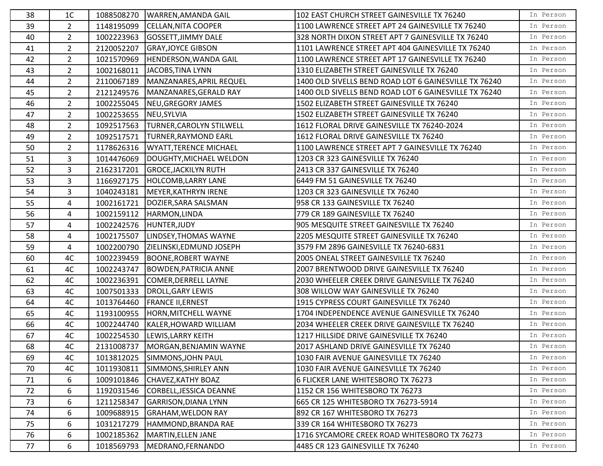| 38 | 1C             | 1088508270             | WARREN, AMANDA GAIL                 | 102 EAST CHURCH STREET GAINESVILLE TX 76240           | In Person |
|----|----------------|------------------------|-------------------------------------|-------------------------------------------------------|-----------|
| 39 | $2^{\circ}$    | 1148195099             | <b>CELLAN, NITA COOPER</b>          | 1100 LAWRENCE STREET APT 24 GAINESVILLE TX 76240      | In Person |
| 40 | $\overline{2}$ | 1002223963             | <b>GOSSETT, JIMMY DALE</b>          | 328 NORTH DIXON STREET APT 7 GAINESVILLE TX 76240     | In Person |
| 41 | $2^{\circ}$    | 2120052207             | <b>GRAY, JOYCE GIBSON</b>           | 1101 LAWRENCE STREET APT 404 GAINESVILLE TX 76240     | In Person |
| 42 | $2^{\circ}$    | 1021570969             | HENDERSON, WANDA GAIL               | 1100 LAWRENCE STREET APT 17 GAINESVILLE TX 76240      | In Person |
| 43 | $\overline{2}$ | 1002168011             | JACOBS, TINA LYNN                   | 1310 ELIZABETH STREET GAINESVILLE TX 76240            | In Person |
| 44 | $2^{\circ}$    | 2110067189             | MANZANARES, APRIL REQUEL            | 1400 OLD SIVELLS BEND ROAD LOT 6 GAINESVILLE TX 76240 | In Person |
| 45 | $\overline{2}$ | 2121249576             | MANZANARES, GERALD RAY              | 1400 OLD SIVELLS BEND ROAD LOT 6 GAINESVILLE TX 76240 | In Person |
| 46 | $2^{\circ}$    | 1002255045             | NEU, GREGORY JAMES                  | 1502 ELIZABETH STREET GAINESVILLE TX 76240            | In Person |
| 47 | $2^{\circ}$    | 1002253655 NEU, SYLVIA |                                     | 1502 ELIZABETH STREET GAINESVILLE TX 76240            | In Person |
| 48 | $2^{\circ}$    | 1092517563             | <b>TURNER, CAROLYN STILWELL</b>     | 1612 FLORAL DRIVE GAINESVILLE TX 76240-2024           | In Person |
| 49 | $2^{\circ}$    | 1092517571             | <b>TURNER, RAYMOND EARL</b>         | 1612 FLORAL DRIVE GAINESVILLE TX 76240                | In Person |
| 50 | $\overline{2}$ | 1178626316             | <b>WYATT, TERENCE MICHAEL</b>       | 1100 LAWRENCE STREET APT 7 GAINESVILLE TX 76240       | In Person |
| 51 | $\overline{3}$ | 1014476069             | DOUGHTY, MICHAEL WELDON             | 1203 CR 323 GAINESVILLE TX 76240                      | In Person |
| 52 | 3              | 2162317201             | <b>GROCE, JACKILYN RUTH</b>         | 2413 CR 337 GAINESVILLE TX 76240                      | In Person |
| 53 | $\mathbf{3}$   | 1166927175             | <b>HOLCOMB, LARRY LANE</b>          | 6449 FM 51 GAINESVILLE TX 76240                       | In Person |
| 54 | 3              | 1040243181             | MEYER, KATHRYN IRENE                | 1203 CR 323 GAINESVILLE TX 76240                      | In Person |
| 55 | 4              | 1002161721             | DOZIER, SARA SALSMAN                | 958 CR 133 GAINESVILLE TX 76240                       | In Person |
| 56 | 4              | 1002159112             | HARMON, LINDA                       | 779 CR 189 GAINESVILLE TX 76240                       | In Person |
| 57 | 4              |                        | 1002242576 HUNTER, JUDY             | 905 MESQUITE STREET GAINESVILLE TX 76240              | In Person |
| 58 | $\overline{4}$ | 1002175507             | LINDSEY, THOMAS WAYNE               | 2205 MESQUITE STREET GAINESVILLE TX 76240             | In Person |
| 59 | 4              | 1002200790             | ZIELINSKI, EDMUND JOSEPH            | 3579 FM 2896 GAINESVILLE TX 76240-6831                | In Person |
| 60 | 4C             | 1002239459             | <b>BOONE, ROBERT WAYNE</b>          | 2005 ONEAL STREET GAINESVILLE TX 76240                | In Person |
| 61 | 4C             | 1002243747             | <b>BOWDEN, PATRICIA ANNE</b>        | 2007 BRENTWOOD DRIVE GAINESVILLE TX 76240             | In Person |
| 62 | 4C             | 1002236391             | COMER, DERRELL LAYNE                | 2030 WHEELER CREEK DRIVE GAINESVILLE TX 76240         | In Person |
| 63 | 4C             | 1007501333             | DROLL, GARY LEWIS                   | 308 WILLOW WAY GAINESVILLE TX 76240                   | In Person |
| 64 | 4C             | 1013764460             | <b>FRANCE II, ERNEST</b>            | 1915 CYPRESS COURT GAINESVILLE TX 76240               | In Person |
| 65 | 4C             | 1193100955             | HORN, MITCHELL WAYNE                | 1704 INDEPENDENCE AVENUE GAINESVILLE TX 76240         | In Person |
| 66 | 4C             | 1002244740             | KALER, HOWARD WILLIAM               | 2034 WHEELER CREEK DRIVE GAINESVILLE TX 76240         | In Person |
| 67 | 4C             | 1002254530             | LEWIS, LARRY KEITH                  | 1217 HILLSIDE DRIVE GAINESVILLE TX 76240              | In Person |
| 68 | 4C             |                        | 2131008737   MORGAN, BENJAMIN WAYNE | 2017 ASHLAND DRIVE GAINESVILLE TX 76240               | In Person |
| 69 | 4C             | 1013812025             | SIMMONS, JOHN PAUL                  | 1030 FAIR AVENUE GAINESVILLE TX 76240                 | In Person |
| 70 | 4C             | 1011930811             | SIMMONS, SHIRLEY ANN                | 1030 FAIR AVENUE GAINESVILLE TX 76240                 | In Person |
| 71 | 6              | 1009101846             | CHAVEZ, KATHY BOAZ                  | 6 FLICKER LANE WHITESBORO TX 76273                    | In Person |
| 72 | 6              | 1192031546             | CORBELL, JESSICA DEANNE             | 1152 CR 156 WHITESBORO TX 76273                       | In Person |
| 73 | 6              | 1211258347             | <b>GARRISON, DIANA LYNN</b>         | 665 CR 125 WHITESBORO TX 76273-5914                   | In Person |
| 74 | 6              | 1009688915             | <b>GRAHAM, WELDON RAY</b>           | 892 CR 167 WHITESBORO TX 76273                        | In Person |
| 75 | 6              | 1031217279             | HAMMOND, BRANDA RAE                 | 339 CR 164 WHITESBORO TX 76273                        | In Person |
| 76 | 6              | 1002185362             | MARTIN, ELLEN JANE                  | 1716 SYCAMORE CREEK ROAD WHITESBORO TX 76273          | In Person |
| 77 | 6              | 1018569793             | MEDRANO, FERNANDO                   | 4485 CR 123 GAINESVILLE TX 76240                      | In Person |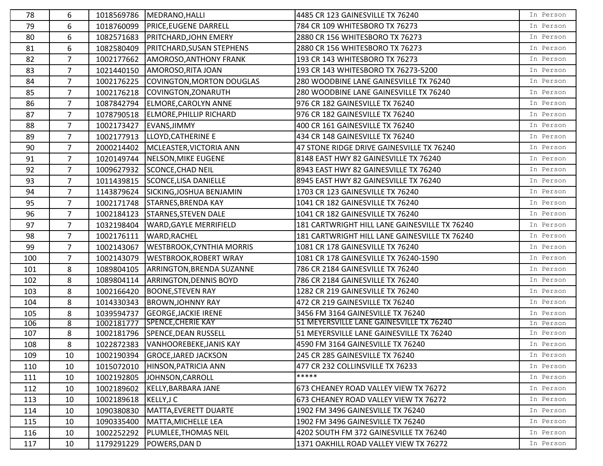| 78  | 6              |            | 1018569786   MEDRANO, HALLI      | 4485 CR 123 GAINESVILLE TX 76240              | In Person |
|-----|----------------|------------|----------------------------------|-----------------------------------------------|-----------|
| 79  | 6              | 1018760099 | <b>PRICE, EUGENE DARRELL</b>     | 784 CR 109 WHITESBORO TX 76273                | In Person |
| 80  | 6              | 1082571683 | <b>PRITCHARD, JOHN EMERY</b>     | 2880 CR 156 WHITESBORO TX 76273               | In Person |
| 81  | 6              | 1082580409 | <b>PRITCHARD, SUSAN STEPHENS</b> | 2880 CR 156 WHITESBORO TX 76273               | In Person |
| 82  | $\overline{7}$ | 1002177662 | <b>AMOROSO, ANTHONY FRANK</b>    | 193 CR 143 WHITESBORO TX 76273                | In Person |
| 83  | $\overline{7}$ | 1021440150 | AMOROSO, RITA JOAN               | 193 CR 143 WHITESBORO TX 76273-5200           | In Person |
| 84  | $\overline{7}$ | 1002176225 | COVINGTON, MORTON DOUGLAS        | 280 WOODBINE LANE GAINESVILLE TX 76240        | In Person |
| 85  | $\overline{7}$ | 1002176218 | COVINGTON, ZONARUTH              | 280 WOODBINE LANE GAINESVILLE TX 76240        | In Person |
| 86  | $\overline{7}$ | 1087842794 | ELMORE, CAROLYN ANNE             | 976 CR 182 GAINESVILLE TX 76240               | In Person |
| 87  | $\overline{7}$ | 1078790518 | <b>ELMORE, PHILLIP RICHARD</b>   | 976 CR 182 GAINESVILLE TX 76240               | In Person |
| 88  | $\overline{7}$ | 1002173427 | EVANS, JIMMY                     | 400 CR 161 GAINESVILLE TX 76240               | In Person |
| 89  | $\overline{7}$ | 1002177913 | LLOYD, CATHERINE E               | 434 CR 148 GAINESVILLE TX 76240               | In Person |
| 90  | $\overline{7}$ | 2000214402 | MCLEASTER, VICTORIA ANN          | 47 STONE RIDGE DRIVE GAINESVILLE TX 76240     | In Person |
| 91  | $\overline{7}$ | 1020149744 | NELSON, MIKE EUGENE              | 8148 EAST HWY 82 GAINESVILLE TX 76240         | In Person |
| 92  | $\overline{7}$ | 1009627932 | <b>SCONCE, CHAD NEIL</b>         | 8943 EAST HWY 82 GAINESVILLE TX 76240         | In Person |
| 93  | $\overline{7}$ | 1011439815 | SCONCE, LISA DANIELLE            | 8945 EAST HWY 82 GAINESVILLE TX 76240         | In Person |
| 94  | $\overline{7}$ | 1143879624 | SICKING, JOSHUA BENJAMIN         | 1703 CR 123 GAINESVILLE TX 76240              | In Person |
| 95  | $\overline{7}$ | 1002171748 | <b>STARNES, BRENDA KAY</b>       | 1041 CR 182 GAINESVILLE TX 76240              | In Person |
| 96  | $\overline{7}$ | 1002184123 | <b>STARNES, STEVEN DALE</b>      | 1041 CR 182 GAINESVILLE TX 76240              | In Person |
| 97  | $\overline{7}$ | 1032198404 | <b>WARD, GAYLE MERRIFIELD</b>    | 181 CARTWRIGHT HILL LANE GAINESVILLE TX 76240 | In Person |
| 98  | 7 <sup>7</sup> | 1002176111 | <b>WARD, RACHEL</b>              | 181 CARTWRIGHT HILL LANE GAINESVILLE TX 76240 | In Person |
| 99  | $\overline{7}$ | 1002143067 | <b>WESTBROOK, CYNTHIA MORRIS</b> | 1081 CR 178 GAINESVILLE TX 76240              | In Person |
| 100 | $\overline{7}$ | 1002143079 | <b>WESTBROOK, ROBERT WRAY</b>    | 1081 CR 178 GAINESVILLE TX 76240-1590         | In Person |
| 101 | 8              | 1089804105 | ARRINGTON, BRENDA SUZANNE        | 786 CR 2184 GAINESVILLE TX 76240              | In Person |
| 102 | 8              | 1089804114 | <b>ARRINGTON, DENNIS BOYD</b>    | 786 CR 2184 GAINESVILLE TX 76240              | In Person |
| 103 | 8              | 1002166420 | <b>BOONE, STEVEN RAY</b>         | 1282 CR 219 GAINESVILLE TX 76240              | In Person |
| 104 | 8              | 1014330343 | <b>BROWN, JOHNNY RAY</b>         | 472 CR 219 GAINESVILLE TX 76240               | In Person |
| 105 | 8              | 1039594737 | <b>GEORGE, JACKIE IRENE</b>      | 3456 FM 3164 GAINESVILLE TX 76240             | In Person |
| 106 | 8              | 1002181777 | <b>SPENCE, CHERIE KAY</b>        | 51 MEYERSVILLE LANE GAINESVILLE TX 76240      | In Person |
| 107 | 8              | 1002181796 | SPENCE, DEAN RUSSELL             | 51 MEYERSVILLE LANE GAINESVILLE TX 76240      | In Person |
| 108 | 8              | 1022872383 | VANHOOREBEKE, JANIS KAY          | 4590 FM 3164 GAINESVILLE TX 76240             | In Person |
| 109 | 10             | 1002190394 | <b>GROCE, JARED JACKSON</b>      | 245 CR 285 GAINESVILLE TX 76240               | In Person |
| 110 | 10             | 1015072010 | HINSON, PATRICIA ANN             | 477 CR 232 COLLINSVILLE TX 76233              | In Person |
| 111 | 10             | 1002192805 | JOHNSON, CARROLL                 | *****                                         | In Person |
| 112 | 10             | 1002189602 | KELLY, BARBARA JANE              | 673 CHEANEY ROAD VALLEY VIEW TX 76272         | In Person |
| 113 | 10             | 1002189618 | KELLY, JC                        | 673 CHEANEY ROAD VALLEY VIEW TX 76272         | In Person |
| 114 | 10             | 1090380830 | MATTA, EVERETT DUARTE            | 1902 FM 3496 GAINESVILLE TX 76240             | In Person |
| 115 | 10             | 1090335400 | MATTA, MICHELLE LEA              | 1902 FM 3496 GAINESVILLE TX 76240             | In Person |
| 116 | 10             | 1002252292 | PLUMLEE, THOMAS NEIL             | 4202 SOUTH FM 372 GAINESVILLE TX 76240        | In Person |
| 117 | 10             | 1179291229 | <b>POWERS, DAN D</b>             | 1371 OAKHILL ROAD VALLEY VIEW TX 76272        | In Person |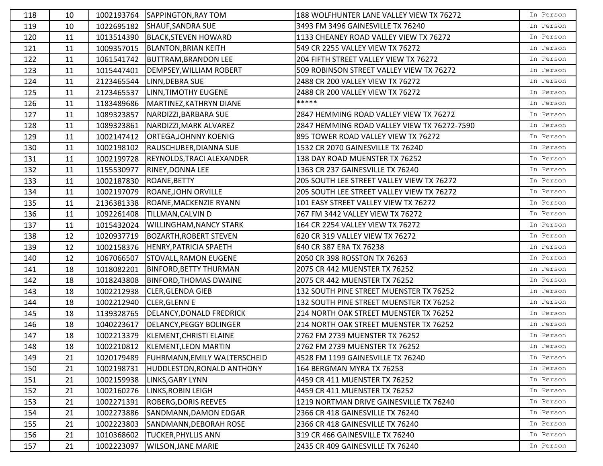| 118 | 10 |            | 1002193764 SAPPINGTON, RAY TOM       | 188 WOLFHUNTER LANE VALLEY VIEW TX 76272    | In Person |
|-----|----|------------|--------------------------------------|---------------------------------------------|-----------|
| 119 | 10 | 1022695182 | SHAUF, SANDRA SUE                    | 3493 FM 3496 GAINESVILLE TX 76240           | In Person |
| 120 | 11 | 1013514390 | BLACK, STEVEN HOWARD                 | 1133 CHEANEY ROAD VALLEY VIEW TX 76272      | In Person |
| 121 | 11 | 1009357015 | <b>BLANTON, BRIAN KEITH</b>          | 549 CR 2255 VALLEY VIEW TX 76272            | In Person |
| 122 | 11 | 1061541742 | <b>BUTTRAM, BRANDON LEE</b>          | 204 FIFTH STREET VALLEY VIEW TX 76272       | In Person |
| 123 | 11 | 1015447401 | DEMPSEY, WILLIAM ROBERT              | 509 ROBINSON STREET VALLEY VIEW TX 76272    | In Person |
| 124 | 11 |            | 2123465544   LINN, DEBRA SUE         | 2488 CR 200 VALLEY VIEW TX 76272            | In Person |
| 125 | 11 | 2123465537 | <b>LINN, TIMOTHY EUGENE</b>          | 2488 CR 200 VALLEY VIEW TX 76272            | In Person |
| 126 | 11 | 1183489686 | MARTINEZ, KATHRYN DIANE              | *****                                       | In Person |
| 127 | 11 | 1089323857 | NARDIZZI, BARBARA SUE                | 2847 HEMMING ROAD VALLEY VIEW TX 76272      | In Person |
| 128 | 11 | 1089323861 | NARDIZZI, MARK ALVAREZ               | 2847 HEMMING ROAD VALLEY VIEW TX 76272-7590 | In Person |
| 129 | 11 | 1002147412 | <b>ORTEGA, JOHNNY KOENIG</b>         | 895 TOWER ROAD VALLEY VIEW TX 76272         | In Person |
| 130 | 11 | 1002198102 | RAUSCHUBER, DIANNA SUE               | 1532 CR 2070 GAINESVILLE TX 76240           | In Person |
| 131 | 11 | 1002199728 | REYNOLDS, TRACI ALEXANDER            | 138 DAY ROAD MUENSTER TX 76252              | In Person |
| 132 | 11 | 1155530977 | RINEY, DONNA LEE                     | 1363 CR 237 GAINESVILLE TX 76240            | In Person |
| 133 | 11 | 1002187830 | ROANE, BETTY                         | 205 SOUTH LEE STREET VALLEY VIEW TX 76272   | In Person |
| 134 | 11 | 1002197079 | ROANE, JOHN ORVILLE                  | 205 SOUTH LEE STREET VALLEY VIEW TX 76272   | In Person |
| 135 | 11 | 2136381338 | ROANE, MACKENZIE RYANN               | 101 EASY STREET VALLEY VIEW TX 76272        | In Person |
| 136 | 11 | 1092261408 | <b>TILLMAN, CALVIN D</b>             | 767 FM 3442 VALLEY VIEW TX 76272            | In Person |
| 137 | 11 |            | 1015432024   WILLINGHAM, NANCY STARK | 164 CR 2254 VALLEY VIEW TX 76272            | In Person |
| 138 | 12 | 1020937719 | <b>BOZARTH, ROBERT STEVEN</b>        | 620 CR 319 VALLEY VIEW TX 76272             | In Person |
| 139 | 12 |            | 1002158376  HENRY, PATRICIA SPAETH   | 640 CR 387 ERA TX 76238                     | In Person |
| 140 | 12 | 1067066507 | <b>STOVALL, RAMON EUGENE</b>         | 2050 CR 398 ROSSTON TX 76263                | In Person |
| 141 | 18 | 1018082201 | <b>BINFORD, BETTY THURMAN</b>        | 2075 CR 442 MUENSTER TX 76252               | In Person |
| 142 | 18 | 1018243808 | BINFORD, THOMAS DWAINE               | 2075 CR 442 MUENSTER TX 76252               | In Person |
| 143 | 18 | 1002212938 | <b>CLER, GLENDA GIEB</b>             | 132 SOUTH PINE STREET MUENSTER TX 76252     | In Person |
| 144 | 18 | 1002212940 | <b>CLER, GLENN E</b>                 | 132 SOUTH PINE STREET MUENSTER TX 76252     | In Person |
| 145 | 18 | 1139328765 | DELANCY, DONALD FREDRICK             | 214 NORTH OAK STREET MUENSTER TX 76252      | In Person |
| 146 | 18 | 1040223617 | DELANCY, PEGGY BOLINGER              | 214 NORTH OAK STREET MUENSTER TX 76252      | In Person |
| 147 | 18 | 1002213379 | KLEMENT, CHRISTI ELAINE              | 2762 FM 2739 MUENSTER TX 76252              | In Person |
| 148 | 18 |            | 1002210812   KLEMENT, LEON MARTIN    | 2762 FM 2739 MUENSTER TX 76252              | In Person |
| 149 | 21 | 1020179489 | <b>FUHRMANN, EMILY WALTERSCHEID</b>  | 4528 FM 1199 GAINESVILLE TX 76240           | In Person |
| 150 | 21 | 1002198731 | HUDDLESTON, RONALD ANTHONY           | 164 BERGMAN MYRA TX 76253                   | In Person |
| 151 | 21 | 1002159938 | <b>LINKS, GARY LYNN</b>              | 4459 CR 411 MUENSTER TX 76252               | In Person |
| 152 | 21 | 1002160276 | LINKS, ROBIN LEIGH                   | 4459 CR 411 MUENSTER TX 76252               | In Person |
| 153 | 21 | 1002271391 | <b>ROBERG, DORIS REEVES</b>          | 1219 NORTMAN DRIVE GAINESVILLE TX 76240     | In Person |
| 154 | 21 | 1002273886 | SANDMANN, DAMON EDGAR                | 2366 CR 418 GAINESVILLE TX 76240            | In Person |
| 155 | 21 | 1002223803 | SANDMANN, DEBORAH ROSE               | 2366 CR 418 GAINESVILLE TX 76240            | In Person |
| 156 | 21 | 1010368602 | <b>TUCKER, PHYLLIS ANN</b>           | 319 CR 466 GAINESVILLE TX 76240             | In Person |
| 157 | 21 | 1002223097 | <b>WILSON, JANE MARIE</b>            | 2435 CR 409 GAINESVILLE TX 76240            | In Person |